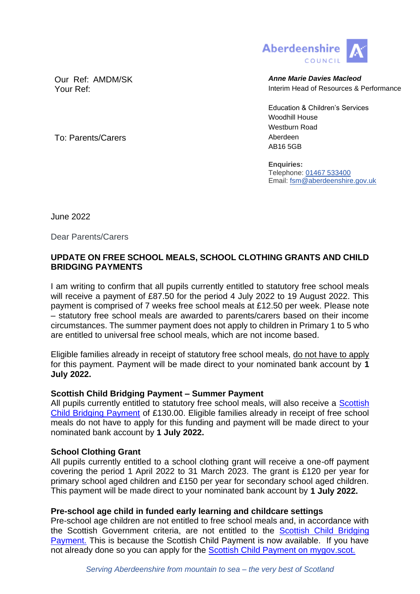

Our Ref: AMDM/SK **Anne Marie Davies Macleod** Your Ref: Interim Head of Resources & Performance

> Education & Children's Services Woodhill House Westburn Road AB16 5GB

**Enquiries:** Telephone: [01467 533400](tel:01467533400) Email: [fsm@aberdeenshire.gov.uk](mailto:fsm@aberdeenshire.gov.uk)

To: Parents/Carers **Aberdeen** 

June 2022

Dear Parents/Carers

# **UPDATE ON FREE SCHOOL MEALS, SCHOOL CLOTHING GRANTS AND CHILD BRIDGING PAYMENTS**

I am writing to confirm that all pupils currently entitled to statutory free school meals will receive a payment of £87.50 for the period 4 July 2022 to 19 August 2022. This payment is comprised of 7 weeks free school meals at £12.50 per week. Please note – statutory free school meals are awarded to parents/carers based on their income circumstances. The summer payment does not apply to children in Primary 1 to 5 who are entitled to universal free school meals, which are not income based.

Eligible families already in receipt of statutory free school meals, do not have to apply for this payment. Payment will be made direct to your nominated bank account by **1 July 2022.**

# **Scottish Child Bridging Payment – Summer Payment**

All pupils currently entitled to statutory free school meals, will also receive a Scottish [Child Bridging Payment](https://www.mygov.scot/scottish-child-bridging-payments) of £130.00. Eligible families already in receipt of free school meals do not have to apply for this funding and payment will be made direct to your nominated bank account by **1 July 2022.**

# **School Clothing Grant**

All pupils currently entitled to a school clothing grant will receive a one-off payment covering the period 1 April 2022 to 31 March 2023. The grant is £120 per year for primary school aged children and £150 per year for secondary school aged children. This payment will be made direct to your nominated bank account by **1 July 2022.** 

# **Pre-school age child in funded early learning and childcare settings**

Pre-school age children are not entitled to free school meals and, in accordance with the Scottish Government criteria, are not entitled to the [Scottish Child Bridging](https://www.mygov.scot/scottish-child-bridging-payments)  [Payment.](https://www.mygov.scot/scottish-child-bridging-payments) This is because the Scottish Child Payment is now available. If you have not already done so you can apply for the [Scottish Child Payment on mygov.scot.](https://www.mygov.scot/scottish-child-payment)